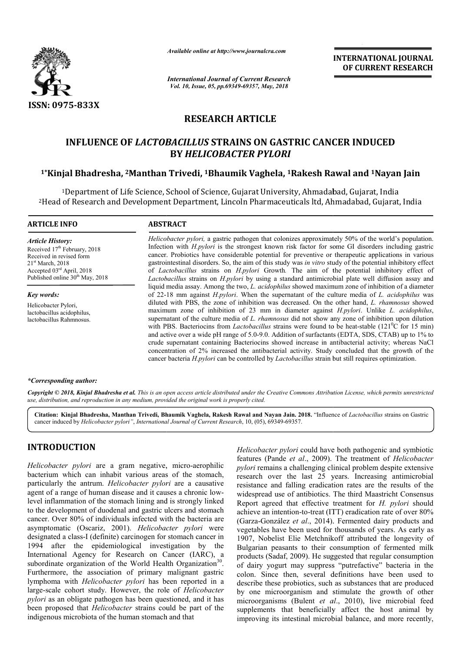

*Available online at http://www.journalcra.com*

*International Journal of Current Research Vol. 10, Issue, 05, pp.69349-69357, May, 2018*

**INTERNATIONAL JOURNAL OF CURRENT RESEARCH**

# **RESEARCH ARTICLE**

# **INFLUENCE OF** *LACTOBACILLUS* **STRAINS ON GASTRIC CANCER INDUCED BY** *HELICOBACTER PYLORI*

# **1\*Kinjal Bhadresha, 2Manthan Manthan Trivedi, 1Bhaumik Vaghela, 1Rakesh Rawal and 1Nayan Jain**

1Department of Life Science, School of Science, Gujarat University, Ahmadabad, Gujarat, India 2Head of Research and Development Department, Lincoln Pharmaceuticals ltd, Ahmadabad, Gujarat, India

#### **ARTICLE INFO ABSTRACT**

*Article History:* Received 17<sup>th</sup> February, 2018 Received in revised form 21st March, 2018 Accepted 03rd April, 2018 Published online  $30<sup>th</sup>$  May, 2018

*Key words:* Helicobacter Pylori, lactobacillus acidophilus, lactobacillus Rahmnosus. Helicobacter pylori, a gastric pathogen that colonizes approximately 50% of the world's population. Infection with *H.pylori* is the strongest known risk factor for some GI disorders including gastric cancer. Probiotics have considerable potential for preventive or therapeutic applications in various gastrointestinal disorders. So, the aim of this study was *in vitro* study study of the potential inhibitory effect of *Lactobacillus* strains on *H.pylori* Growth*.* The aim of the potential inhibitory effect of Lactobacillus strains on *H.pylori* by using a standard antimicrobial plate well diffusion assay and liquid media assay. Among the two, *L. acidophilus* showed maximum zone of inhibition of a diameter of 22-18 18 mm against *H.pylori*. When the supernatant of the culture media of *L. acidophilus* was diluted with PBS, the zone of inhibition was decreased. On the other hand, *L. rhamnosus* showed maximum zone of inhibition of 23 mm in diameter against *H.pylori*. Unlike *L. acidophilus*, supernatant of the culture media of *L. rhamnosus* did not show any zone of inhibition upon dilution with PBS. Bacteriocins from *Lactobacillus* strains were found to be heat-stable (121<sup>°</sup>C for 15 min) and active over a wide pH range of 5.0-9.0. Addition of surfactants (EDTA, SDS, CTAB) up to 1% to crude supernatant containing Bacteriocins showed increase in antibacterial activity; whereas NaCl concentration of 2% increased the antibacterial activity. Study concluded that the growth of the cancer bacteria *H.pylori* can be controlled by *Lactobacillus* strain but still requires optimization.

#### *\*Corresponding author:*

Copyright © 2018, Kinjal Bhadresha et al. This is an open access article distributed under the Creative Commons Attribution License, which permits unrestricted *use, distribution, and reproduction in any medium, provided the original work is properly cited.*

Citation: Kinjal Bhadresha, Manthan Trivedi, Bhaumik Vaghela, Rakesh Rawal and Nayan Jain. 2018. "Influence of Lactobacillus strains on Gastric cancer induced by *Helicobacter pylori"*, *International Journal of Current Research*, 10, (05), 69349-69357.

# **INTRODUCTION**

*Helicobacter pylori* are a gram negative, micro-aerophilic bacterium which can inhabit various areas of the stomach, particularly the antrum. *Helicobacter pylori* are a causative agent of a range of human disease and it causes a chronic lowlevel inflammation of the stomach lining and is strongly linked to the development of duodenal and gastric ulcers and stomach cancer. Over 80% of individuals infected with the bacteria are asymptomatic (Oscariz, 2001). *Helicobacter pylori* were designated a class-I (definite) carcinogen for stomach cancer in 1994 after the epidemiological investigation by the International Agency for Research on Cancer (IARC), a subordinate organization of the World Health Organization<sup>30</sup>. Furthermore, the association of primary malignant gastric lymphoma with *Helicobacter pylori* has been reported in a large-scale cohort study. However, the role of *Helicobacter pylori* as an obligate pathogen has been questioned, and it has been proposed that *Helicobacter* strains could be part of the indigenous microbiota of the human stomach and that

*Helicobacter pylori* could have both pathogenic and symbiotic features (Pande *et al*., 2009). The treatment of *Helicobacter* pylori remains a challenging clinical problem despite extensive research over the last 25 years. Increasing antimicrobial resistance and falling eradication rates are the results of the widespread use of antibiotics. The third Maastricht Consensus Report agreed that effective treatment for *H. pylori* should achieve an intention-to-treat (ITT) eradication rate of over 80% (Garza-González *et al*., 2014). . Fermented dairy products and vegetables have been used for thousands of years. As early as 1907, Nobelist Elie Metchnikoff attributed the longevity of Bulgarian peasants to their consumption of fermented milk products (Sadaf, 2009). He suggested that regular consumption of dairy yogurt may suppress "putrefactive" bacteria in the colon. Since then, several definitions have been used to describe these probiotics, such as substances that are produced by one microorganism and stimulate the growth of other microorganisms (Bulent *et al* ., 2010), live microbial feed supplements that beneficially affect the host animal by improving its intestinal microbial balance, and more recently,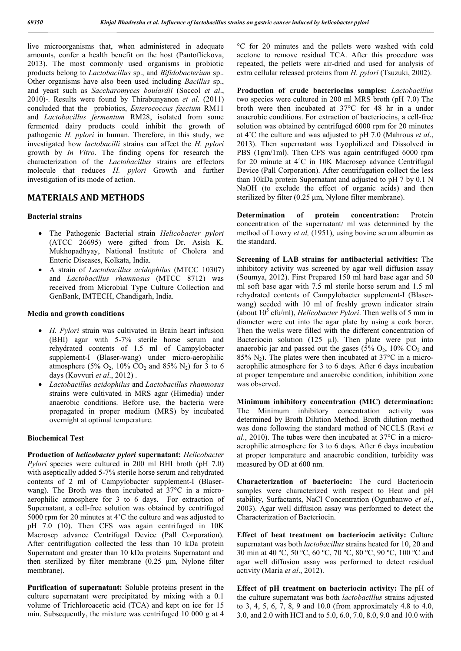live microorganisms that, when administered in adequate amounts, confer a health benefit on the host (Pantoflickova, 2013). The most commonly used organisms in probiotic products belong to *Lactobacillus* sp., and *Bifidobacterium* sp.. Other organisms have also been used including *Bacillus* sp., and yeast such as *Saccharomyces boulardii* (Soccol *et al*., 2010)-. Results were found by Thirabunyanon *et al*. (2011) concluded that the probiotics, *Enterococcus faecium* RM11 and *Lactobacillus fermentum* RM28, isolated from some fermented dairy products could inhibit the growth of pathogenic *H. pylori* in human. Therefore, in this study, we investigated how *lactobacilli* strains can affect the *H. pylori* growth by *In Vitro*. The finding opens for research the characterization of the *Lactobacillus* strains are effectors molecule that reduces *H. pylori* Growth and further investigation of its mode of action.

# **MATERIALS AND METHODS**

#### **Bacterial strains**

- The Pathogenic Bacterial strain *Helicobacter pylori* (ATCC 26695) were gifted from Dr. Asish K. Mukhopadhyay, National Institute of Cholera and Enteric Diseases, Kolkata, India.
- A strain of *Lactobacillus acidophilus* (MTCC 10307) and *Lactobacillus rhamnosus* (MTCC 8712) was received from Microbial Type Culture Collection and GenBank, IMTECH, Chandigarh, India.

#### **Media and growth conditions**

- *H. Pylori* strain was cultivated in Brain heart infusion (BHI) agar with 5-7% sterile horse serum and rehydrated contents of 1.5 ml of Campylobacter supplement-I (Blaser-wang) under micro-aerophilic atmosphere (5%  $O_2$ , 10%  $CO_2$  and 85% N<sub>2</sub>) for 3 to 6 days (Kovvuri *et al*., 2012) .
- *Lactobacillus acidophilus* and *Lactobacillus rhamnosus* strains were cultivated in MRS agar (Himedia) under anaerobic conditions. Before use, the bacteria were propagated in proper medium (MRS) by incubated overnight at optimal temperature.

## **Biochemical Test**

**Production of** *helicobacter pylori* **supernatant:** *Helicobacter Pylori* species were cultured in 200 ml BHI broth (pH 7.0) with aseptically added 5-7% sterile horse serum and rehydrated contents of 2 ml of Campylobacter supplement-I (Blaserwang). The Broth was then incubated at 37°C in a microaerophilic atmosphere for 3 to 6 days. For extraction of Supernatant, a cell-free solution was obtained by centrifuged 5000 rpm for 20 minutes at 4°C the culture and was adjusted to pH 7.0 (10). Then CFS was again centrifuged in 10K Macrosep advance Centrifugal Device (Pall Corporation). After centrifugation collected the less than 10 kDa protein Supernatant and greater than 10 kDa proteins Supernatant and then sterilized by filter membrane (0.25 μm, Nylone filter membrane).

**Purification of supernatant:** Soluble proteins present in the culture supernatant were precipitated by mixing with a 0.1 volume of Trichloroacetic acid (TCA) and kept on ice for 15 min. Subsequently, the mixture was centrifuged 10 000 g at 4

°C for 20 minutes and the pellets were washed with cold acetone to remove residual TCA. After this procedure was repeated, the pellets were air-dried and used for analysis of extra cellular released proteins from *H. pylori* (Tsuzuki, 2002).

**Production of crude bacteriocins samples:** *Lactobacillus* two species were cultured in 200 ml MRS broth (pH 7.0) The broth were then incubated at 37°C for 48 hr in a under anaerobic conditions. For extraction of bacteriocins, a cell-free solution was obtained by centrifuged 6000 rpm for 20 minutes at 4˚C the culture and was adjusted to pH 7.0 (Mahrous *et al*., 2013). Then supernatant was Lyophilized and Dissolved in PBS (1gm/1ml). Then CFS was again centrifuged 6000 rpm for 20 minute at 4˚C in 10K Macrosep advance Centrifugal Device (Pall Corporation). After centrifugation collect the less than 10kDa protein Supernatant and adjusted to pH 7 by 0.1 N NaOH (to exclude the effect of organic acids) and then sterilized by filter (0.25 μm, Nylone filter membrane).

**Determination of protein concentration:** Protein concentration of the supernatant/ ml was determined by the method of Lowry *et al,* (1951), using bovine serum albumin as the standard.

**Screening of LAB strains for antibacterial activities:** The inhibitory activity was screened by agar well diffusion assay (Soumya, 2012). First Prepared 150 ml hard base agar and 50 ml soft base agar with 7.5 ml sterile horse serum and 1.5 ml rehydrated contents of Campylobacter supplement-I (Blaserwang) seeded with 10 ml of freshly grown indicator strain (about  $10^5$  cfu/ml), *Helicobacter Pylori*. Then wells of 5 mm in diameter were cut into the agar plate by using a cork borer. Then the wells were filled with the different concentration of Bacteriocin solution (125  $\mu$ l). Then plate were put into anaerobic jar and passed out the gases  $(5\% \text{ O}_2, 10\% \text{ CO}_2)$  and 85%  $N_2$ ). The plates were then incubated at 37°C in a microaerophilic atmosphere for 3 to 6 days. After 6 days incubation at proper temperature and anaerobic condition, inhibition zone was observed.

**Minimum inhibitory concentration (MIC) determination:** The Minimum inhibitory concentration activity was determined by Broth Dilution Method. Broth dilution method was done following the standard method of NCCLS (Ravi *et al*., 2010). The tubes were then incubated at 37°C in a microaerophilic atmosphere for 3 to 6 days. After 6 days incubation at proper temperature and anaerobic condition, turbidity was measured by OD at 600 nm.

**Characterization of bacteriocin:** The curd Bacteriocin samples were characterized with respect to Heat and pH stability, Surfactants, NaCl Concentration (Ogunbanwo *et al*., 2003). Agar well diffusion assay was performed to detect the Characterization of Bacteriocin.

**Effect of heat treatment on bacteriocin activity:** Culture supernatant was both *lactobacillus* strains heated for 10, 20 and 30 min at 40 ºC, 50 ºC, 60 ºC, 70 ºC, 80 ºC, 90 ºC, 100 ºC and agar well diffusion assay was performed to detect residual activity (Maria *et al*., 2012).

**Effect of pH treatment on bacteriocin activity:** The pH of the culture supernatant was both *lactobacillus* strains adjusted to 3, 4, 5, 6, 7, 8, 9 and 10.0 (from approximately 4.8 to 4.0, 3.0, and 2.0 with HCI and to 5.0, 6.0, 7.0, 8.0, 9.0 and 10.0 with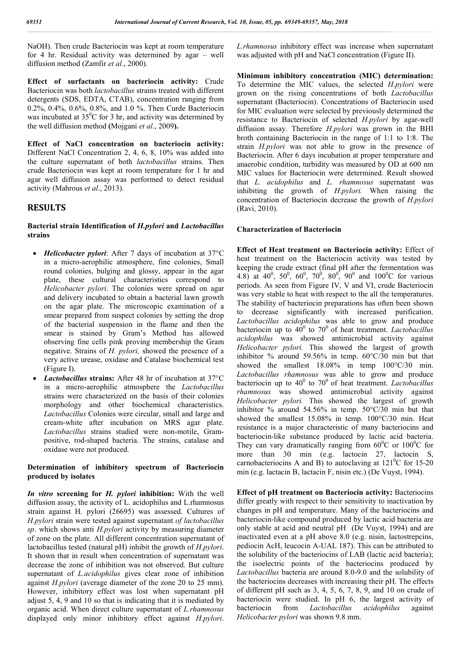NaOH). Then crude Bacteriocin was kept at room temperature for 4 hr. Residual activity was determined by agar – well diffusion method (Zamfir *et al*., 2000).

**Effect of surfactants on bacteriocin activity:** Crude Bacteriocin was both *lactobacillus* strains treated with different detergents (SDS, EDTA, CTAB), concentration ranging from 0.2%, 0.4%, 0.6%, 0.8%, and 1.0 %. Then Curde Bacteriocin was incubated at  $35^{\circ}$ C for 3 hr, and activity was determined by the well diffusion method **(**Mojgani *et al*., 2009**).**

**Effect of NaCl concentration on bacteriocin activity:** Different NaCl Concentration 2, 4, 6, 8, 10% was added into the culture supernatant of both *lactobacillus* strains. Then crude Bacteriocin was kept at room temperature for 1 hr and agar well diffusion assay was performed to detect residual activity (Mahrous *et al*., 2013).

## **RESULTS**

## **Bacterial strain Identification of** *H.pylori* **and** *Lactobacillus* **strains**

- *Helicobacter pylori*: After 7 days of incubation at 37°C in a micro-aerophilic atmosphere, fine colonies, Small round colonies, bulging and glossy, appear in the agar plate, these cultural characteristics correspond to *Helicobacter pylori*. The colonies were spread on agar and delivery incubated to obtain a bacterial lawn growth on the agar plate. The microscopic examination of a smear prepared from suspect colonies by setting the drop of the bacterial suspension in the flame and then the smear is stained by Gram's Method has allowed observing fine cells pink proving membership the Gram negative. Strains of *H. pylori,* showed the presence of a very active urease, oxidase and Catalase biochemical test (Figure I).
- *Lactobacillus* **strains:** After 48 hr of incubation at 37°C in a micro-aerophilic atmosphere the *Lactobacillus* strains were characterized on the basis of their colonies morphology and other biochemical characteristics. *Lactobacillus* Colonies were circular, small and large and cream-white after incubation on MRS agar plate. *Lactobacillus* strains studied were non-motile, Grampositive, rod-shaped bacteria. The strains, catalase and oxidase were not produced.

## **Determination of inhibitory spectrum of Bacteriocin produced by isolates**

*In vitro* **screening for** *H. pylori* **inhibition:** With the well diffusion assay, the activity of L. acidophilus and L.rhamnosus strain against H. pylori (26695) was assessed. Cultures of *H.pylori* strain were tested against supernatant *of lactobacillus sp*. which shows anti *H.pylori* activity by measuring diameter of zone on the plate. All different concentration supernatant of lactobacillus tested (natural pH) inhibit the growth of *H.pylori*. It shown that in result when concentration of supernatant was decrease the zone of inhibition was not observed. But culture supernatant of *L.acidophilus* gives clear zone of inhibition against *H.pylori* (average diameter of the zone 20 to 25 mm). However, inhibitory effect was lost when supernatant pH adjust 5, 4, 9 and 10 so that is indicating that it is mediated by organic acid. When direct culture supernatant of *L.rhamnosus* displayed only minor inhibitory effect against *H.pylori*.

*L.rhamnosus* inhibitory effect was increase when supernatant was adjusted with pH and NaCl concentration (Figure II).

**Minimum inhibitory concentration (MIC) determination:** To determine the MIC values, the selected *H.pylori* were grown on the rising concentrations of both *Lactobacillus* supernatant (Bacteriocin). Concentrations of Bacteriocin used for MIC evaluation were selected by previously determined the resistance to Bacteriocin of selected *H.pylori* by agar-well diffusion assay. Therefore *H.pylori* was grown in the BHI broth containing Bacteriocin in the range of 1:1 to 1:8. The strain *H.pylori* was not able to grow in the presence of Bacteriocin. After 6 days incubation at proper temperature and anaerobic condition, turbidity was measured by OD at 600 nm MIC values for Bacteriocin were determined. Result showed that *L. acidophilus* and *L. rhamnosus* supernatant was inhibiting the growth of *H.pylori.* When raising the concentration of Bacteriocin decrease the growth of *H.pylori* (Ravi, 2010).

#### **Characterization of Bacteriocin**

**Effect of Heat treatment on Bacteriocin activity:** Effect of heat treatment on the Bacteriocin activity was tested by keeping the crude extract (final pH after the fermentation was 4.8) at 40<sup>0</sup>, 50<sup>0</sup>, 60<sup>0</sup>, 70<sup>0</sup>, 80<sup>0</sup>, 90<sup>0</sup> and 100<sup>0</sup>C for various periods. As seen from Figure IV, V and VI, crude Bacteriocin was very stable to heat with respect to the all the temperatures. The stability of bacteriocin preparations has often been shown to decrease significantly with increased purification. *Lactobacillus acidophilus* was able to grow and produce bacteriocin up to  $40^0$  to  $70^0$  of heat treatment. *Lactobacillus acidophilus* was showed antimicrobial activity against *Helicobacter pylori.* This showed the largest of growth inhibitor % around 59.56% in temp. 60°C/30 min but that showed the smallest 18.08% in temp  $100^{\circ}$ C/30 min. *Lactobacillus rhamnosus* was able to grow and produce bacteriocin up to 40<sup>0</sup> to 70<sup>0</sup> of heat treatment. *Lactobacillus rhamnosus* was showed antimicrobial activity against *Helicobacter pylori.* This showed the largest of growth inhibitor % around 54.56% in temp. 50°C/30 min but that showed the smallest 15.08% in temp. 100°C/30 min. Heat resistance is a major characteristic of many bacteriocins and bacteriocin-like substance produced by lactic acid bacteria. They can vary dramatically ranging from  $60^{\circ}$ C or  $100^{\circ}$ C for more than 30 min (e.g. lactocin 27, lactocin S, carnobacteriocins A and B) to autoclaving at  $121^{\circ}$ C for 15-20 min (e.g. lactacin B, lactacin F, nisin etc.) (De Vuyst, 1994).

**Effect of pH treatment on Bacteriocin activity:** Bacteriocins differ greatly with respect to their sensitivity to inactivation by changes in pH and temperature. Many of the bacteriocins and bacteriocin-like compound produced by lactic acid bacteria are only stable at acid and neutral pH (De Vuyst, 1994) and are inactivated even at a pH above 8.0 (e.g. nisin, lactostrepcins, pediocin AcH, leucocin A-UAL 187). This can be attributed to the solubility of the bacteriocins of LAB (lactic acid bacteria); the isoelectric points of the bacteriocins produced by *Lactobacillus* bacteria are around 8.0-9.0 and the solubility of the bacteriocins decreases with increasing their pH. The effects of different pH such as 3, 4, 5, 6, 7, 8, 9, and 10 on crude of bacteriocin were studied. In pH 6, the largest activity of bacteriocin from *Lactobacillus acidophilus* against bacteriocin from *Lactobacillus acidophilus* against *Helicobacter pylori* was shown 9.8 mm.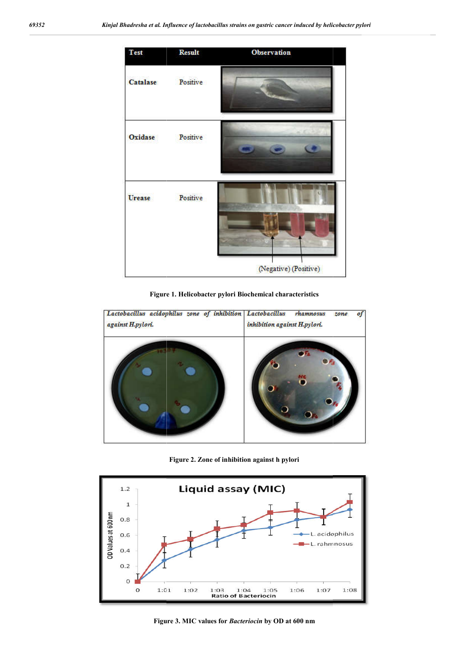

**Figure 1. Helicobacter pylori Biochemical characteristics**



**Figure 2. Zone of inhibition against h pylori**



**Figure 3. MIC values for** *Bacteriocin* **by OD at 600 nm**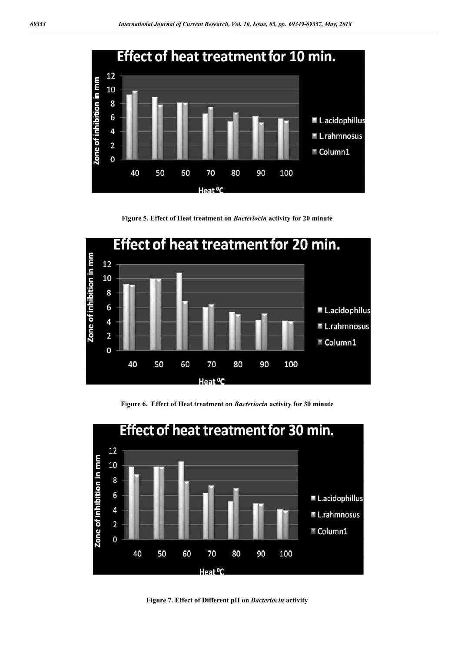

**Figure 5. Effect of Heat treatment on** *Bacteriocin* **activity for 20 minute**



**Figure 6. Effect of Heat treatment on** *Bacteriocin* **activity for 30 minute**



**Figure 7. Effect of Different pH on** *Bacteriocin* **activity**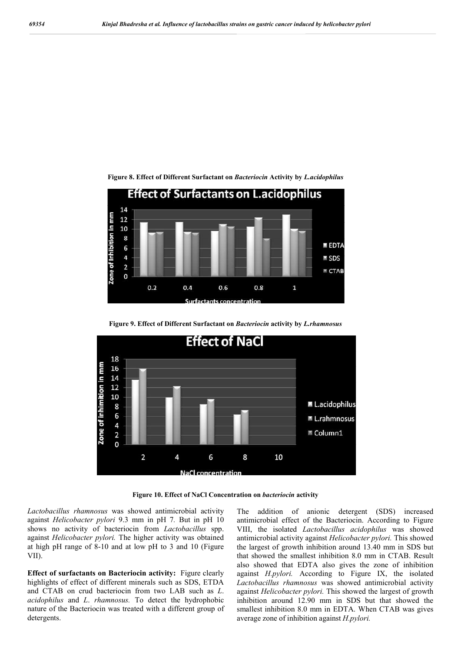

**Figure 8. Effect of Different Surfactant on** *Bacteriocin* **Activity by** *L.acidophilus*





**Figure 10. Effect of NaCl Concentration on** *bacteriocin* **activity**

*Lactobacillus rhamnosus* was showed antimicrobial activity against *Helicobacter pylori* 9.3 mm in pH 7*.* But in pH 10 shows no activity of bacteriocin from *Lactobacillus* spp. against *Helicobacter pylori.* The higher activity was obtained at high pH range of 8-10 and at low pH to 3 and 10 (Figure VII).

**Effect of surfactants on Bacteriocin activity:** Figure clearly highlights of effect of different minerals such as SDS, ETDA and CTAB on crud bacteriocin from two LAB such as *L*. *acidophilus* and *L*. *rhamnosus.* To detect the hydrophobic nature of the Bacteriocin was treated with a different group of detergents.

The addition of anionic detergent (SDS) increased antimicrobial effect of the Bacteriocin. According to Figure VIII, the isolated *Lactobacillus acidophilus* was showed antimicrobial activity against *Helicobacter pylori.* This showed the largest of growth inhibition around 13.40 mm in SDS but that showed the smallest inhibition 8.0 mm in CTAB. Result also showed that EDTA also gives the zone of inhibition against *H.pylori.* According to Figure IX, the isolated *Lactobacillus rhamnosus* was showed antimicrobial activity against *Helicobacter pylori.* This showed the largest of growth inhibition around 12.90 mm in SDS but that showed the smallest inhibition 8.0 mm in EDTA. When CTAB was gives average zone of inhibition against *H.pylori.*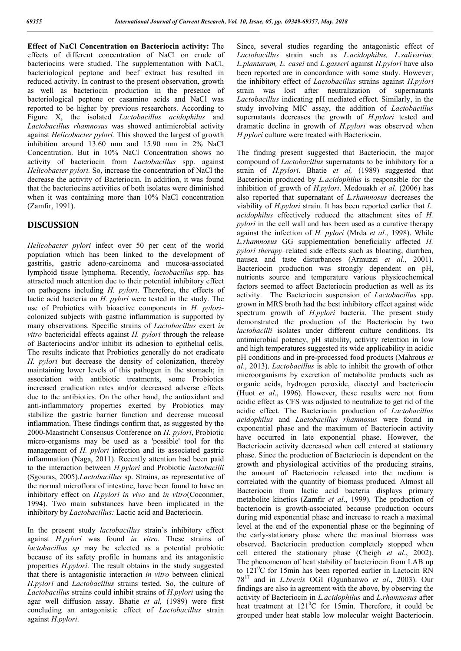**Effect of NaCl Concentration on Bacteriocin activity:** The effects of different concentration of NaCl on crude of bacteriocins were studied. The supplementation with NaCl, bacteriological peptone and beef extract has resulted in reduced activity. In contrast to the present observation, growth as well as bacteriocin production in the presence of bacteriological peptone or casamino acids and NaCl was reported to be higher by previous researchers. According to Figure X, the isolated *Lactobacillus acidophilus* and *Lactobacillus rhamnosus* was showed antimicrobial activity against *Helicobacter pylori.* This showed the largest of growth inhibition around 13.60 mm and 15.90 mm in 2% NaCl Concentration. But in 10% NaCl Concentration shows no activity of bacteriocin from *Lactobacillus* spp. against *Helicobacter pylori.* So, increase the concentration of NaCl the decrease the activity of Bacteriocin. In addition, it was found that the bacteriocins activities of both isolates were diminished when it was containing more than 10% NaCl concentration (Zamfir, 1991).

## **DISCUSSION**

*Helicobacter pylori* infect over 50 per cent of the world population which has been linked to the development of gastritis, gastric adeno-carcinoma and mucosa-associated lymphoid tissue lymphoma. Recently, *lactobacillus* spp. has attracted much attention due to their potential inhibitory effect on pathogens including *H. pylori*. Therefore, the effects of lactic acid bacteria on *H. pylori* were tested in the study. The use of Probiotics with bioactive components in *H. pylori*colonized subjects with gastric inflammation is supported by many observations. Specific strains of *Lactobacillus* exert *in vitro* bactericidal effects against *H. pylori* through the release of Bacteriocins and/or inhibit its adhesion to epithelial cells. The results indicate that Probiotics generally do not eradicate *H. pylori* but decrease the density of colonization, thereby maintaining lower levels of this pathogen in the stomach; in association with antibiotic treatments, some Probiotics increased eradication rates and/or decreased adverse effects due to the antibiotics. On the other hand, the antioxidant and anti-inflammatory properties exerted by Probiotics may stabilize the gastric barrier function and decrease mucosal inflammation. These findings confirm that, as suggested by the 2000-Maastricht Consensus Conference on *H. pylori*, Probiotic micro-organisms may be used as a 'possible' tool for the management of *H. pylori* infection and its associated gastric inflammation (Naga, 2011). Recently attention had been paid to the interaction between *H.pylori* and Probiotic *lactobacilli* (Sgouras, 2005).*Lactobacillus* sp. Strains, as representative of the normal microflora of intestine, have been found to have an inhibitory effect on *H.pylori in vivo* and *in vitro*(Coconnier, 1994). Two main substances have been implicated in the inhibitory by *Lactobacillus:* Lactic acid and Bacteriocin.

In the present study *lactobacillus* strain's inhibitory effect against *H.pylori* was found *in vitro*. These strains of *lactobacillus sp* may be selected as a potential probiotic because of its safety profile in humans and its antagonistic properties *H.pylori*. The result obtains in the study suggested that there is antagonistic interaction *in vitro* between clinical *H.pylori* and *Lactobacillus* strains tested. So, the culture of *Lactobacillus* strains could inhibit strains of *H.pylori* using the agar well diffusion assay. Bhatie *et al,* (1989) were first concluding an antagonistic effect of *Lactobacillus* strain against *H.pylori*.

Since, several studies regarding the antagonistic effect of *Lactobacillus* strain such as *L.acidophilus, L.salivarius, L.plantarum, L. casei* and *L.gasseri* against *H.pylori* have also been reported are in concordance with some study. However, the inhibitory effect of *Lactobacillus* strains against *H.pylori* strain was lost after neutralization of supernatants *Lactobacillus* indicating pH mediated effect. Similarly, in the study involving MIC assay, the addition of *Lactobacillus* supernatants decreases the growth of *H.pylori* tested and dramatic decline in growth of *H.pylori* was observed when *H.pylori* culture were treated with Bacteriocin.

The finding present suggested that Bacteriocin, the major compound of *Lactobacillus* supernatants to be inhibitory for a strain of *H.pylori*. Bhatie *et al,* (1989) suggested that Bacteriocin produced by *L.acidophilus* is responsible for the inhibition of growth of *H.pylori*. Medouakh *et al.* (2006) has also reported that supernatant of *L.rhamnosus* decreases the viability of *H.pylori* strain. It has been reported earlier that *L. acidophilus* effectively reduced the attachment sites of *H. pylori* in the cell wall and has been used as a curative therapy against the infection of *H. pylori* (Mrda *et al*., 1998). While *L.rhamnosus* GG supplementation beneficially affected *H. pylori therapy*–related side effects such as bloating, diarrhea, nausea and taste disturbances (Armuzzi *et al*., 2001). Bacteriocin production was strongly dependent on pH, nutrients source and temperature various physicochemical factors seemed to affect Bacteriocin production as well as its activity. The Bacteriocin suspension of *Lactobacillus* spp. grown in MRS broth had the best inhibitory effect against wide spectrum growth of *H.pylori* bacteria. The present study demonstrated the production of the Bacteriocin by two *lactobacilli* isolates under different culture conditions. Its antimicrobial potency, pH stability, activity retention in low and high temperatures suggested its wide applicability in acidic pH conditions and in pre-processed food products (Mahrous *et al*., 2013). *Lactobacillus* is able to inhibit the growth of other microorganisms by excretion of metabolite products such as organic acids, hydrogen peroxide, diacetyl and bacteriocin (Huot *et al*., 1996). However, these results were not from acidic effect as CFS was adjusted to neutralize to get rid of the acidic effect. The Bacteriocin production of *Lactobacillus acidophilus* and *Lactobacillus rhamnosus* were found in exponential phase and the maximum of Bacteriocin activity have occurred in late exponential phase. However, the Bacteriocin activity decreased when cell entered at stationary phase. Since the production of Bacteriocin is dependent on the growth and physiological activities of the producing strains, the amount of Bacteriocin released into the medium is correlated with the quantity of biomass produced. Almost all Bacteriocin from lactic acid bacteria displays primary metabolite kinetics (Zamfir *et al*., 1999). The production of bacteriocin is growth-associated because production occurs during mid exponential phase and increase to reach a maximal level at the end of the exponential phase or the beginning of the early-stationary phase where the maximal biomass was observed. Bacteriocin production completely stopped when cell entered the stationary phase (Cheigh *et al*., 2002). The phenomenon of heat stability of bacteriocin from LAB up to 121<sup>°</sup>C for 15min has been reported earlier in Lactocin RN 78<sup>17</sup> and in *L.brevis* OGI (Ogunbanwo *et al*., 2003). Our findings are also in agreement with the above, by observing the activity of Bacteriocin in *L.acidophilus* and *L.rhamnosus* after heat treatment at  $121^{\circ}$ C for 15min. Therefore, it could be grouped under heat stable low molecular weight Bacteriocin.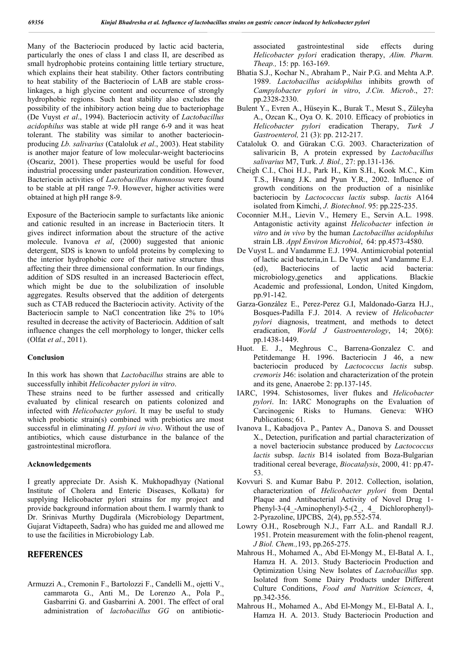Many of the Bacteriocin produced by lactic acid bacteria, particularly the ones of class I and class II, are described as small hydrophobic proteins containing little tertiary structure, which explains their heat stability. Other factors contributing to heat stability of the Bacteriocin of LAB are stable crosslinkages, a high glycine content and occurrence of strongly hydrophobic regions. Such heat stability also excludes the possibility of the inhibitory action being due to bacteriophage (De Vuyst *et al*., 1994). Bacteriocin activity of *Lactobacillus acidophilus* was stable at wide pH range 6-9 and it was heat tolerant. The stability was similar to another bacteriocinproducing *Lb. salivarius* (Cataloluk *et al*., 2003). Heat stability is another major feature of low molecular-weight bacteriocins (Oscariz, 2001). These properties would be useful for food industrial processing under pasteurization condition. However, Bacteriocin activities of *Lactobacillus rhamnosus* were found to be stable at pH range 7-9. However, higher activities were obtained at high pH range 8-9.

Exposure of the Bacteriocin sample to surfactants like anionic and cationic resulted in an increase in Bacteriocin titers. It gives indirect information about the structure of the active molecule. Ivanova *et al*, (2000) suggested that anionic detergent, SDS is known to unfold proteins by complexing to the interior hydrophobic core of their native structure thus affecting their three dimensional conformation. In our findings, addition of SDS resulted in an increased Bacteriocin effect, which might be due to the solubilization of insoluble aggregates. Results observed that the addition of detergents such as CTAB reduced the Bacteriocin activity. Activity of the Bacteriocin sample to NaCl concentration like 2% to 10% resulted in decrease the activity of Bacteriocin. Addition of salt influence changes the cell morphology to longer, thicker cells (Olfat *et al*., 2011).

#### **Conclusion**

In this work has shown that *Lactobacillus* strains are able to successfully inhibit *Helicobacter pylori in vitro*.

These strains need to be further assessed and critically evaluated by clinical research on patients colonized and infected with *Helicobacter pylori*. It may be useful to study which probiotic strain(s) combined with prebiotics are most successful in eliminating *H. pylori in vivo*. Without the use of antibiotics, which cause disturbance in the balance of the gastrointestinal microflora.

#### **Acknowledgements**

I greatly appreciate Dr. Asish K. Mukhopadhyay (National Institute of Cholera and Enteric Diseases, Kolkata) for supplying Helicobacter pylori strains for my project and provide background information about them. I warmly thank to Dr. Srinivas Murthy Dugdirala (Microbiology Department, Gujarat Vidtapeeth, Sadra) who has guided me and allowed me to use the facilities in Microbiology Lab.

## **REFERENCES**

Armuzzi A., Cremonin F., Bartolozzi F., Candelli M., ojetti V., cammarota G., Anti M., De Lorenzo A., Pola P., Gasbarrini G. and Gasbarrini A. 2001. The effect of oral administration of *lactobacillus GG* on antibioticassociated gastrointestinal side effects during *Helicobacter pylori* eradication therapy, *Alim. Pharm. Theap.,* 15: pp. 163-169.

- Bhatia S.J., Kochar N., Abraham P., Nair P.G. and Mehta A.P. 1989. *Lactobacillus acidophilus* inhibits growth of *Campylobacter pylori in vitro*, *J.Cin. Microb*., 27: pp.2328-2330.
- Bulent Y., Evren A., Hüseyin K., Burak T., Mesut S., Züleyha A., Ozcan K., Oya O. K. 2010. Efficacy of probiotics in *Helicobacter pylori* eradication Therapy, *Turk J Gastroenterol,* 21 (3): pp. 212-217.
- Cataloluk O. and Gürakan C.G. 2003. Characterization of salivaricin B, A protein expressed by *Lactobacillus salivarius* M7, Turk. *J. Biol.,* 27: pp.131-136.
- Cheigh C.I., Choi H.J., Park H., Kim S.H., Kook M.C., Kim T.S., Hwang J.K. and Pyun Y.R., 2002. Influence of growth conditions on the production of a nisinlike bacteriocin by *Lactococcus lactis* subsp. *lactis* A164 isolated from Kimchi, *J. Biotechnol*. 95: pp.225-235.
- Coconnier M.H., Lievin V., Hemery E., Servin A.L. 1998. Antagonistic activity against *Helicobacter* infection *in vitro* and *in vivo* by the human *Lactobacillus acidophilus* strain LB. *Appl Environ Microbiol*, 64: pp.4573-4580.
- De Vuyst L. and Vandamme E.J. 1994. Antimicrobial potential of lactic acid bacteria,in L. De Vuyst and Vandamme E.J. (ed), Bacteriocins of lactic acid bacteria: microbiology,genetics and applications. Blackie Academic and professional, London, United Kingdom, pp.91-142.
- Garza-González E., Perez-Perez G.I, Maldonado-Garza H.J., Bosques-Padilla F.J. 2014. A review of *Helicobacter pylori* diagnosis, treatment, and methods to detect eradication, *World J Gastroenterology*, 14; 20(6): pp.1438-1449.
- Huot. E. J., Meghrous C., Barrena-Gonzalez C. and Petitdemange H. 1996. Bacteriocin J 46, a new bacteriocin produced by *Lactococcus lactis* subsp. *cremoris* J46: isolation and characterization of the protein and its gene, Anaerobe 2: pp.137-145.
- IARC, 1994. Schistosomes, liver flukes and *Helicobacter pylori*. In: IARC Monographs on the Evaluation of Carcinogenic Risks to Humans. Geneva: WHO Publications; 61.
- Ivanova I., Kabadjova P., Pantev A., Danova S. and Dousset X., Detection, purification and partial characterization of a novel bacteriocin substance produced by *Lactococcus lactis* subsp. *lactis* B14 isolated from Boza-Bulgarian traditional cereal beverage, *Biocatalysis*, 2000, 41: pp.47- 53.
- Kovvuri S. and Kumar Babu P. 2012. Collection, isolation, characterization of *Helicobacter pylori* from Dental Plaque and Antibacterial Activity of Novel Drug 1- Phenyl-3-(4\_-Aminophenyl)-5-(2\_, 4\_ Dichlorophenyl)- 2-Pyrazoline, IJPCBS, 2(4), pp.552-574.
- Lowry O.H., Rosebrough N.J., Farr A.L. and Randall R.J. 1951. Protein measurement with the folin-phenol reagent, *J Biol. Chem.,*193, pp.265-275.
- Mahrous H., Mohamed A., Abd El-Mongy M., El-Batal A. I., Hamza H. A. 2013. Study Bacteriocin Production and Optimization Using New Isolates of *Lactobacillus* spp. Isolated from Some Dairy Products under Different Culture Conditions, *Food and Nutrition Sciences*, 4, pp.342-356.
- Mahrous H., Mohamed A., Abd El-Mongy M., El-Batal A. I., Hamza H. A. 2013. Study Bacteriocin Production and